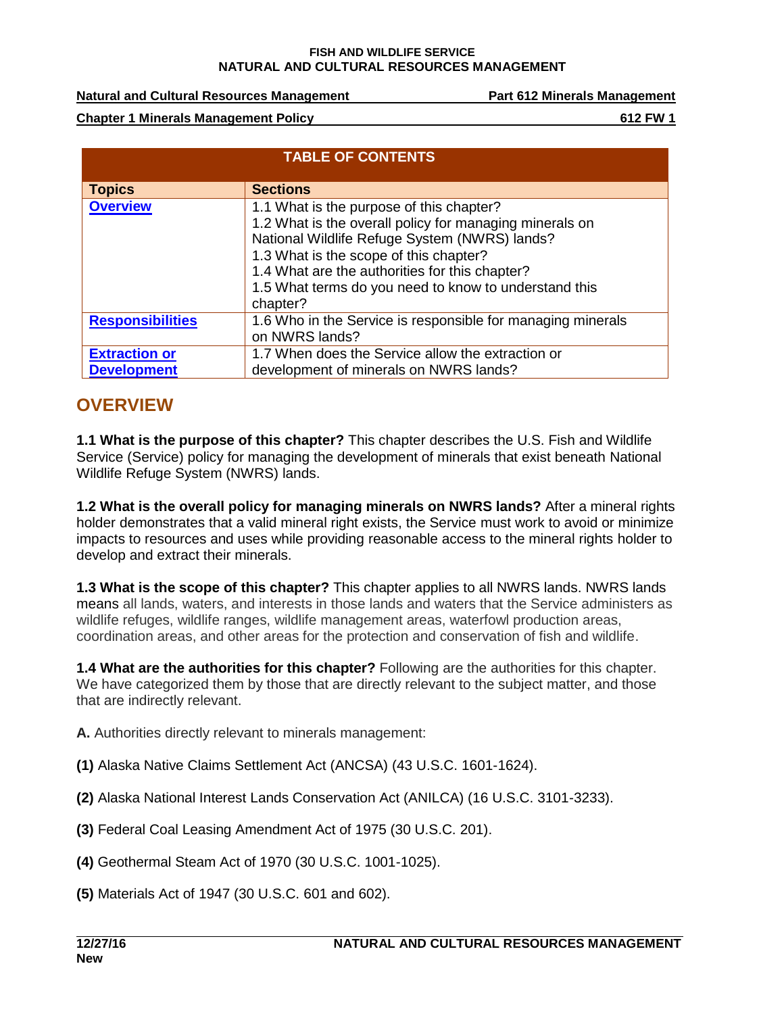**Natural and Cultural Resources Management Part 612 Minerals Management**

**Chapter 1 Minerals Management Policy 612 FW 1**

| <b>TABLE OF CONTENTS</b>                   |                                                                                                                                                                                                                                                                                                                       |  |
|--------------------------------------------|-----------------------------------------------------------------------------------------------------------------------------------------------------------------------------------------------------------------------------------------------------------------------------------------------------------------------|--|
| <b>Topics</b>                              | <b>Sections</b>                                                                                                                                                                                                                                                                                                       |  |
| <b>Overview</b>                            | 1.1 What is the purpose of this chapter?<br>1.2 What is the overall policy for managing minerals on<br>National Wildlife Refuge System (NWRS) lands?<br>1.3 What is the scope of this chapter?<br>1.4 What are the authorities for this chapter?<br>1.5 What terms do you need to know to understand this<br>chapter? |  |
| <b>Responsibilities</b>                    | 1.6 Who in the Service is responsible for managing minerals<br>on NWRS lands?                                                                                                                                                                                                                                         |  |
| <b>Extraction or</b><br><b>Development</b> | 1.7 When does the Service allow the extraction or<br>development of minerals on NWRS lands?                                                                                                                                                                                                                           |  |

### <span id="page-0-0"></span>**OVERVIEW**

**1.1 What is the purpose of this chapter?** This chapter describes the U.S. Fish and Wildlife Service (Service) policy for managing the development of minerals that exist beneath National Wildlife Refuge System (NWRS) lands.

**1.2 What is the overall policy for managing minerals on NWRS lands?** After a mineral rights holder demonstrates that a valid mineral right exists, the Service must work to avoid or minimize impacts to resources and uses while providing reasonable access to the mineral rights holder to develop and extract their minerals.

**1.3 What is the scope of this chapter?** This chapter applies to all NWRS lands. NWRS lands means all lands, waters, and interests in those lands and waters that the Service administers as wildlife refuges, wildlife ranges, wildlife management areas, waterfowl production areas, coordination areas, and other areas for the protection and conservation of fish and wildlife.

**1.4 What are the authorities for this chapter?** Following are the authorities for this chapter. We have categorized them by those that are directly relevant to the subject matter, and those that are indirectly relevant.

**A.** Authorities directly relevant to minerals management:

- **(1)** Alaska Native Claims Settlement Act (ANCSA) (43 U.S.C. 1601-1624).
- **(2)** Alaska National Interest Lands Conservation Act (ANILCA) (16 U.S.C. 3101-3233).
- **(3)** Federal Coal Leasing Amendment Act of 1975 (30 U.S.C. 201).
- **(4)** Geothermal Steam Act of 1970 (30 U.S.C. 1001-1025).
- **(5)** Materials Act of 1947 (30 U.S.C. 601 and 602).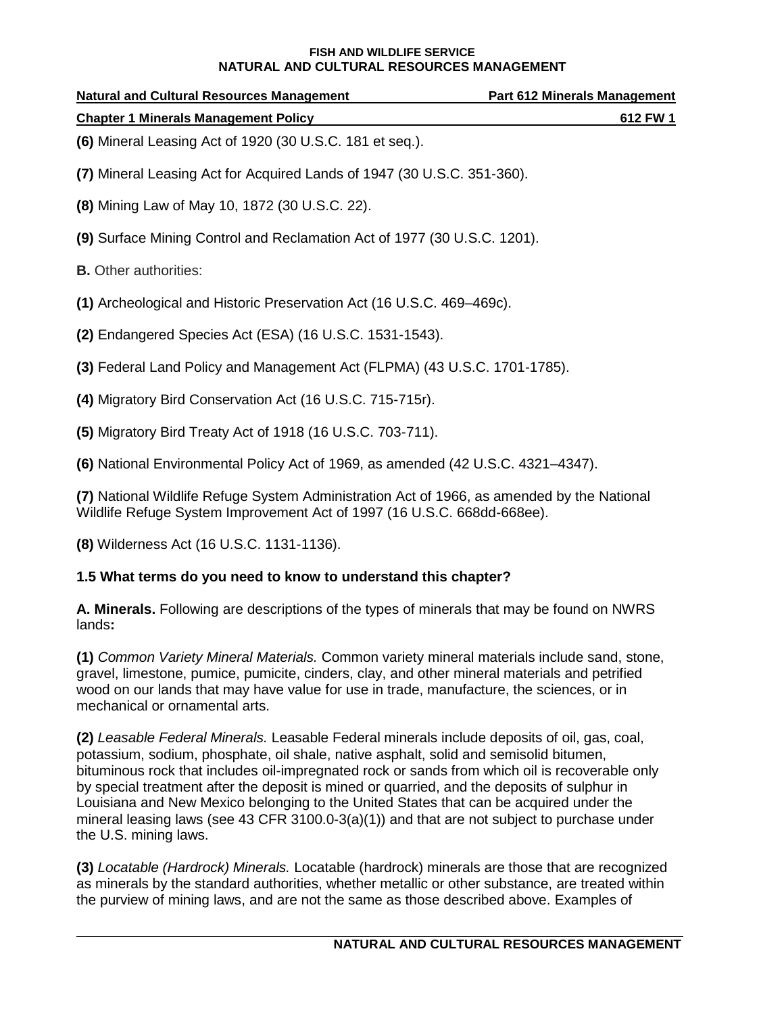| <b>Natural and Cultural Resources Management</b>         | <b>Part 612 Minerals Management</b> |  |
|----------------------------------------------------------|-------------------------------------|--|
| <b>Chapter 1 Minerals Management Policy</b>              | 612 FW 1                            |  |
| (6) Mineral Leasing Act of 1920 (30 U.S.C. 181 et seq.). |                                     |  |

- **(7)** Mineral Leasing Act for Acquired Lands of 1947 (30 U.S.C. 351-360).
- **(8)** Mining Law of May 10, 1872 (30 U.S.C. 22).
- **(9)** Surface Mining Control and Reclamation Act of 1977 (30 U.S.C. 1201).
- **B.** Other authorities:
- **(1)** Archeological and Historic Preservation Act (16 U.S.C. 469–469c).
- **(2)** Endangered Species Act (ESA) (16 U.S.C. 1531-1543).
- **(3)** Federal Land Policy and Management Act (FLPMA) (43 U.S.C. 1701-1785).
- **(4)** Migratory Bird Conservation Act (16 U.S.C. 715-715r).
- **(5)** Migratory Bird Treaty Act of 1918 (16 U.S.C. 703-711).
- **(6)** National Environmental Policy Act of 1969, as amended (42 U.S.C. 4321–4347).

**(7)** National Wildlife Refuge System Administration Act of 1966, as amended by the National Wildlife Refuge System Improvement Act of 1997 (16 U.S.C. 668dd-668ee).

**(8)** Wilderness Act (16 U.S.C. 1131-1136).

### **1.5 What terms do you need to know to understand this chapter?**

**A. Minerals.** Following are descriptions of the types of minerals that may be found on NWRS lands**:**

**(1)** *Common Variety Mineral Materials.* Common variety mineral materials include sand, stone, gravel, limestone, pumice, pumicite, cinders, clay, and other mineral materials and petrified wood on our lands that may have value for use in trade, manufacture, the sciences, or in mechanical or ornamental arts.

**(2)** *Leasable Federal Minerals.* Leasable Federal minerals include deposits of oil, gas, coal, potassium, sodium, phosphate, oil shale, native asphalt, solid and semisolid bitumen, bituminous rock that includes oil-impregnated rock or sands from which oil is recoverable only by special treatment after the deposit is mined or quarried, and the deposits of sulphur in Louisiana and New Mexico belonging to the United States that can be acquired under the mineral leasing laws (see 43 CFR 3100.0-3(a)(1)) and that are not subject to purchase under the U.S. mining laws.

**(3)** *Locatable (Hardrock) Minerals.* Locatable (hardrock) minerals are those that are recognized as minerals by the standard authorities, whether metallic or other substance, are treated within the purview of mining laws, and are not the same as those described above. Examples of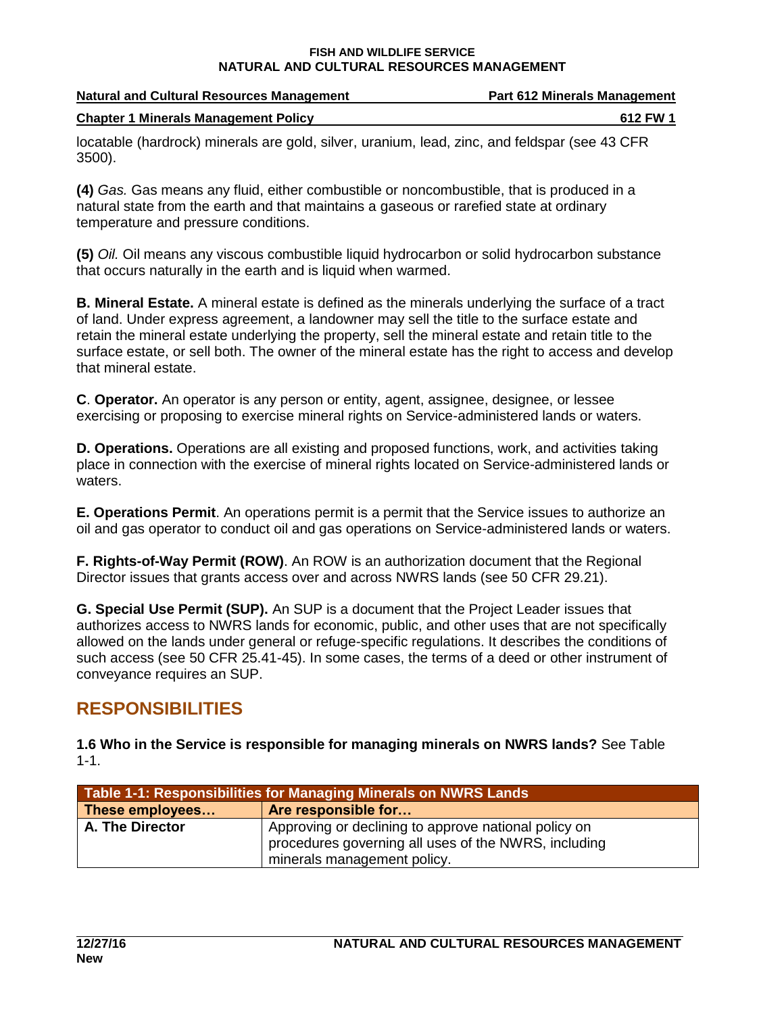| <b>Natural and Cultural Resources Management</b>                                         | <b>Part 612 Minerals Management</b> |
|------------------------------------------------------------------------------------------|-------------------------------------|
| <b>Chapter 1 Minerals Management Policy</b>                                              | 612 FW 1                            |
| looptable (bordrook) minerale are gald oilver uranium lood zine and foldener (eee 12 CED |                                     |

locatable (hardrock) minerals are gold, silver, uranium, lead, zinc, and feldspar (see 43 CFR 3500).

**(4)** *Gas.* Gas means any fluid, either combustible or noncombustible, that is produced in a natural state from the earth and that maintains a gaseous or rarefied state at ordinary temperature and pressure conditions.

**(5)** *Oil.* Oil means any viscous combustible liquid hydrocarbon or solid hydrocarbon substance that occurs naturally in the earth and is liquid when warmed.

**B. Mineral Estate.** A mineral estate is defined as the minerals underlying the surface of a tract of land. Under express agreement, a landowner may sell the title to the surface estate and retain the mineral estate underlying the property, sell the mineral estate and retain title to the surface estate, or sell both. The owner of the mineral estate has the right to access and develop that mineral estate.

**C**. **Operator.** An operator is any person or entity, agent, assignee, designee, or lessee exercising or proposing to exercise mineral rights on Service-administered lands or waters.

**D. Operations.** Operations are all existing and proposed functions, work, and activities taking place in connection with the exercise of mineral rights located on Service-administered lands or waters.

**E. Operations Permit**. An operations permit is a permit that the Service issues to authorize an oil and gas operator to conduct oil and gas operations on Service-administered lands or waters.

**F. Rights-of-Way Permit (ROW)**. An ROW is an authorization document that the Regional Director issues that grants access over and across NWRS lands (see 50 CFR 29.21).

**G. Special Use Permit (SUP).** An SUP is a document that the Project Leader issues that authorizes access to NWRS lands for economic, public, and other uses that are not specifically allowed on the lands under general or refuge-specific regulations. It describes the conditions of such access (see 50 CFR 25.41-45). In some cases, the terms of a deed or other instrument of conveyance requires an SUP.

## <span id="page-2-0"></span>**RESPONSIBILITIES**

**1.6 Who in the Service is responsible for managing minerals on NWRS lands?** See Table 1-1.

| Table 1-1: Responsibilities for Managing Minerals on NWRS Lands |                                                                                                                                             |  |
|-----------------------------------------------------------------|---------------------------------------------------------------------------------------------------------------------------------------------|--|
| These employees                                                 | Are responsible for                                                                                                                         |  |
| A. The Director                                                 | Approving or declining to approve national policy on<br>procedures governing all uses of the NWRS, including<br>minerals management policy. |  |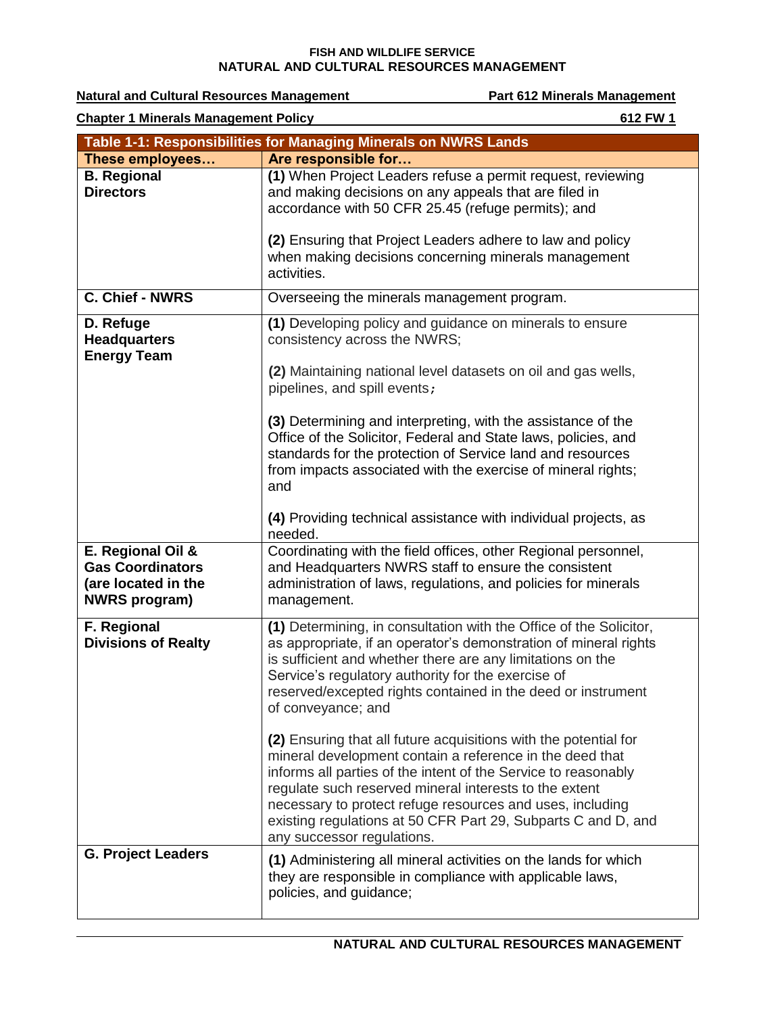**Natural and Cultural Resources Management Communisty Communisty Part 612 Minerals Management Chapter 1 Minerals Management Policy 612 FW 1 Table 1-1: Responsibilities for Managing Minerals on NWRS Lands These employees… Are responsible for… B. Regional Directors (1)** When Project Leaders refuse a permit request, reviewing and making decisions on any appeals that are filed in accordance with 50 CFR 25.45 (refuge permits); and **(2)** Ensuring that Project Leaders adhere to law and policy when making decisions concerning minerals management activities. **C. Chief - NWRS Overseeing the minerals management program. D. Refuge Headquarters Energy Team (1)** Developing policy and guidance on minerals to ensure consistency across the NWRS; **(2)** Maintaining national level datasets on oil and gas wells, pipelines, and spill events; **(3)** Determining and interpreting, with the assistance of the Office of the Solicitor, Federal and State laws, policies, and standards for the protection of Service land and resources from impacts associated with the exercise of mineral rights; and **(4)** Providing technical assistance with individual projects, as needed. **E. Regional Oil & Gas Coordinators (are located in the NWRS program)** Coordinating with the field offices, other Regional personnel, and Headquarters NWRS staff to ensure the consistent administration of laws, regulations, and policies for minerals management. **F. Regional Divisions of Realty (1)** Determining, in consultation with the Office of the Solicitor, as appropriate, if an operator's demonstration of mineral rights is sufficient and whether there are any limitations on the Service's regulatory authority for the exercise of reserved/excepted rights contained in the deed or instrument of conveyance; and **(2)** Ensuring that all future acquisitions with the potential for mineral development contain a reference in the deed that informs all parties of the intent of the Service to reasonably regulate such reserved mineral interests to the extent necessary to protect refuge resources and uses, including existing regulations at 50 CFR Part 29, Subparts C and D, and any successor regulations. **G. Project Leaders (1)** Administering all mineral activities on the lands for which they are responsible in compliance with applicable laws, policies, and guidance;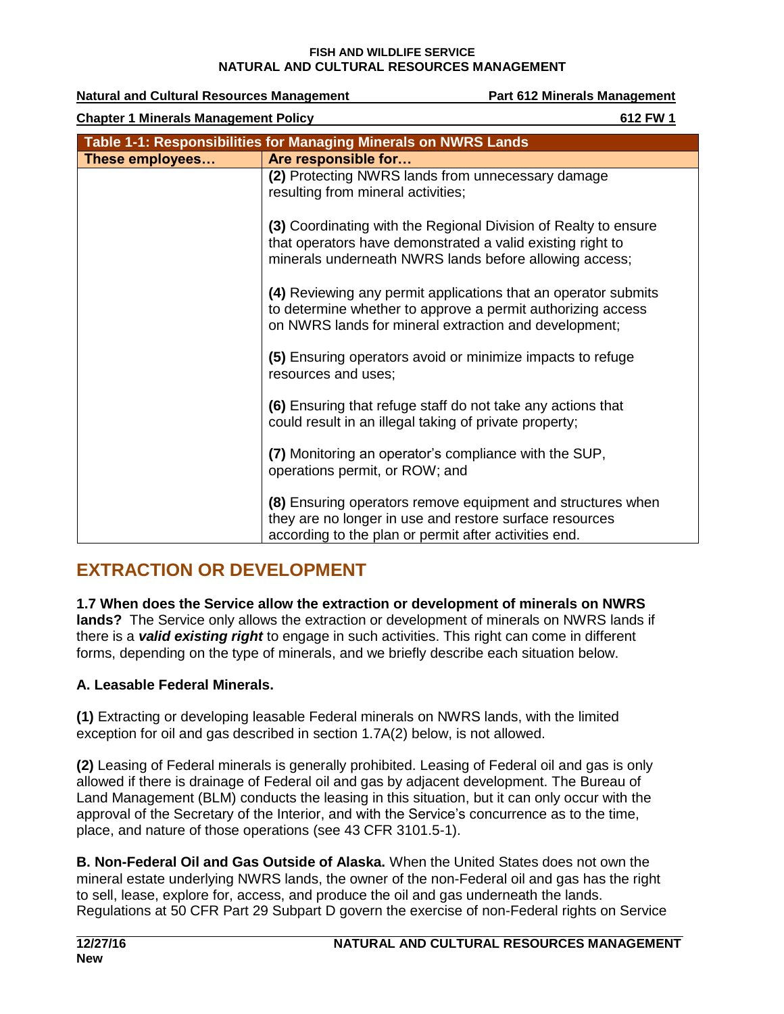| <b>Natural and Cultural Resources Management</b>                |                                                                                                                                                                                         | Part 612 Minerals Management |
|-----------------------------------------------------------------|-----------------------------------------------------------------------------------------------------------------------------------------------------------------------------------------|------------------------------|
| <b>Chapter 1 Minerals Management Policy</b>                     |                                                                                                                                                                                         | 612 FW 1                     |
| Table 1-1: Responsibilities for Managing Minerals on NWRS Lands |                                                                                                                                                                                         |                              |
| These employees                                                 | Are responsible for                                                                                                                                                                     |                              |
|                                                                 | (2) Protecting NWRS lands from unnecessary damage<br>resulting from mineral activities;                                                                                                 |                              |
|                                                                 | (3) Coordinating with the Regional Division of Realty to ensure<br>that operators have demonstrated a valid existing right to<br>minerals underneath NWRS lands before allowing access; |                              |
|                                                                 | (4) Reviewing any permit applications that an operator submits<br>to determine whether to approve a permit authorizing access<br>on NWRS lands for mineral extraction and development;  |                              |
|                                                                 | (5) Ensuring operators avoid or minimize impacts to refuge<br>resources and uses;                                                                                                       |                              |
|                                                                 | (6) Ensuring that refuge staff do not take any actions that<br>could result in an illegal taking of private property;                                                                   |                              |
|                                                                 | (7) Monitoring an operator's compliance with the SUP,<br>operations permit, or ROW; and                                                                                                 |                              |
|                                                                 | (8) Ensuring operators remove equipment and structures when<br>they are no longer in use and restore surface resources<br>according to the plan or permit after activities end.         |                              |

# <span id="page-4-0"></span>**EXTRACTION OR DEVELOPMENT**

**1.7 When does the Service allow the extraction or development of minerals on NWRS lands?** The Service only allows the extraction or development of minerals on NWRS lands if there is a *valid existing right* to engage in such activities. This right can come in different forms, depending on the type of minerals, and we briefly describe each situation below.

### **A. Leasable Federal Minerals.**

**(1)** Extracting or developing leasable Federal minerals on NWRS lands, with the limited exception for oil and gas described in section 1.7A(2) below, is not allowed.

**(2)** Leasing of Federal minerals is generally prohibited. Leasing of Federal oil and gas is only allowed if there is drainage of Federal oil and gas by adjacent development. The Bureau of Land Management (BLM) conducts the leasing in this situation, but it can only occur with the approval of the Secretary of the Interior, and with the Service's concurrence as to the time, place, and nature of those operations (see 43 CFR 3101.5-1).

**B. Non-Federal Oil and Gas Outside of Alaska.** When the United States does not own the mineral estate underlying NWRS lands, the owner of the non-Federal oil and gas has the right to sell, lease, explore for, access, and produce the oil and gas underneath the lands. Regulations at 50 CFR Part 29 Subpart D govern the exercise of non-Federal rights on Service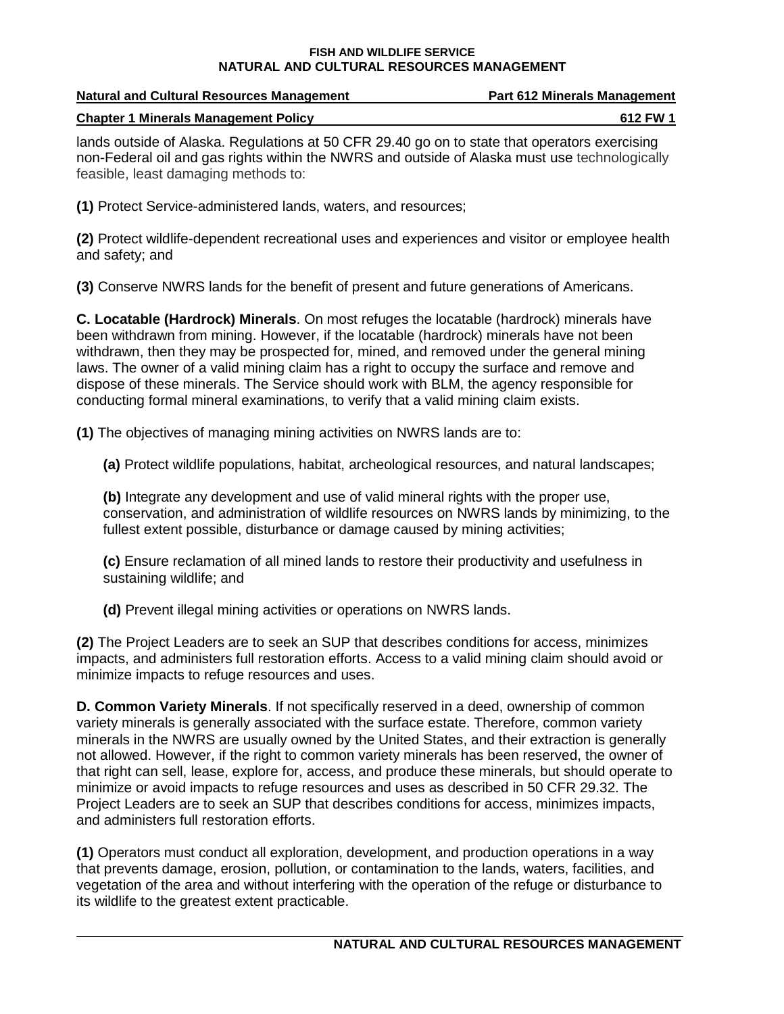| <b>Natural and Cultural Resources Management</b> | <b>Part 612 Minerals Management</b> |
|--------------------------------------------------|-------------------------------------|
| <b>Chapter 1 Minerals Management Policy</b>      | 612 FW 1                            |

lands outside of Alaska. Regulations at 50 CFR 29.40 go on to state that operators exercising non-Federal oil and gas rights within the NWRS and outside of Alaska must use technologically feasible, least damaging methods to:

**(1)** Protect Service-administered lands, waters, and resources;

**(2)** Protect wildlife-dependent recreational uses and experiences and visitor or employee health and safety; and

**(3)** Conserve NWRS lands for the benefit of present and future generations of Americans.

**C. Locatable (Hardrock) Minerals**. On most refuges the locatable (hardrock) minerals have been withdrawn from mining. However, if the locatable (hardrock) minerals have not been withdrawn, then they may be prospected for, mined, and removed under the general mining laws. The owner of a valid mining claim has a right to occupy the surface and remove and dispose of these minerals. The Service should work with BLM, the agency responsible for conducting formal mineral examinations, to verify that a valid mining claim exists.

**(1)** The objectives of managing mining activities on NWRS lands are to:

**(a)** Protect wildlife populations, habitat, archeological resources, and natural landscapes;

**(b)** Integrate any development and use of valid mineral rights with the proper use, conservation, and administration of wildlife resources on NWRS lands by minimizing, to the fullest extent possible, disturbance or damage caused by mining activities;

**(c)** Ensure reclamation of all mined lands to restore their productivity and usefulness in sustaining wildlife; and

**(d)** Prevent illegal mining activities or operations on NWRS lands.

**(2)** The Project Leaders are to seek an SUP that describes conditions for access, minimizes impacts, and administers full restoration efforts. Access to a valid mining claim should avoid or minimize impacts to refuge resources and uses.

**D. Common Variety Minerals**. If not specifically reserved in a deed, ownership of common variety minerals is generally associated with the surface estate. Therefore, common variety minerals in the NWRS are usually owned by the United States, and their extraction is generally not allowed. However, if the right to common variety minerals has been reserved, the owner of that right can sell, lease, explore for, access, and produce these minerals, but should operate to minimize or avoid impacts to refuge resources and uses as described in 50 CFR 29.32. The Project Leaders are to seek an SUP that describes conditions for access, minimizes impacts, and administers full restoration efforts.

**(1)** Operators must conduct all exploration, development, and production operations in a way that prevents damage, erosion, pollution, or contamination to the lands, waters, facilities, and vegetation of the area and without interfering with the operation of the refuge or disturbance to its wildlife to the greatest extent practicable.